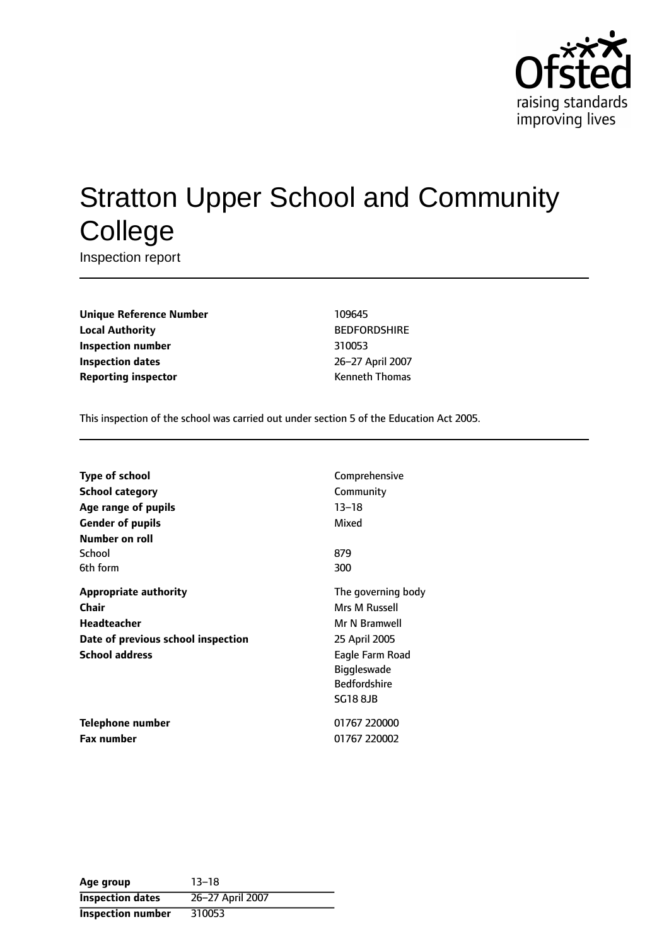

# Stratton Upper School and Community **College**

Inspection report

**Unique Reference Number** 109645 **Local Authority** BEDFORDSHIRE **Inspection number** 310053 **Inspection dates** 26-27 April 2007 **Reporting inspector CONFIDENTIAL REPORTING KENNETH CONFIDENTIAL REPORTING KENNETH CONFIDENTIAL REPORTING KENNETH CONFIDENTIAL REPORTING KENNETH CONFIDENTIAL REPORTING KENNETH CONFIDENTIAL REPORTING THE SET OF THE SET OF** 

This inspection of the school was carried out under section 5 of the Education Act 2005.

| <b>Type of school</b>              | Comprehensive       |
|------------------------------------|---------------------|
| <b>School category</b>             | Community           |
| Age range of pupils                | $13 - 18$           |
| <b>Gender of pupils</b>            | Mixed               |
| Number on roll                     |                     |
| School                             | 879                 |
| 6th form                           | 300                 |
| <b>Appropriate authority</b>       | The governing body  |
| Chair                              | Mrs M Russell       |
| <b>Headteacher</b>                 | Mr N Bramwell       |
| Date of previous school inspection | 25 April 2005       |
| <b>School address</b>              | Eagle Farm Road     |
|                                    | <b>Biggleswade</b>  |
|                                    | <b>Bedfordshire</b> |
|                                    | <b>SG18 8JB</b>     |
| <b>Telephone number</b>            | 01767 220000        |
| <b>Fax number</b>                  | 01767 220002        |

**Age** group 13-18 **Inspection dates** 26-27 April 2007 **Inspection number** 310053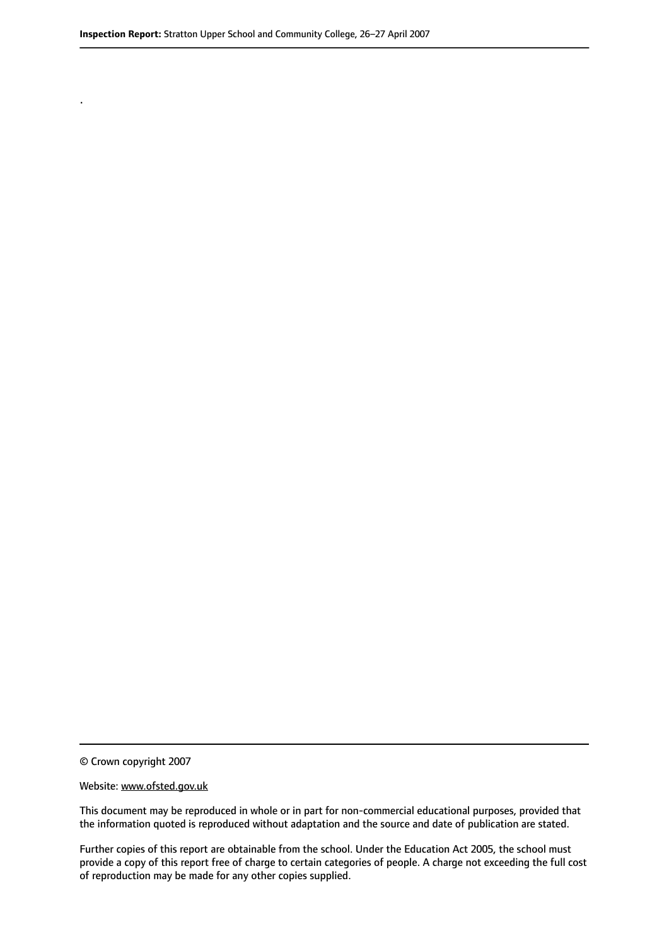© Crown copyright 2007

.

#### Website: www.ofsted.gov.uk

This document may be reproduced in whole or in part for non-commercial educational purposes, provided that the information quoted is reproduced without adaptation and the source and date of publication are stated.

Further copies of this report are obtainable from the school. Under the Education Act 2005, the school must provide a copy of this report free of charge to certain categories of people. A charge not exceeding the full cost of reproduction may be made for any other copies supplied.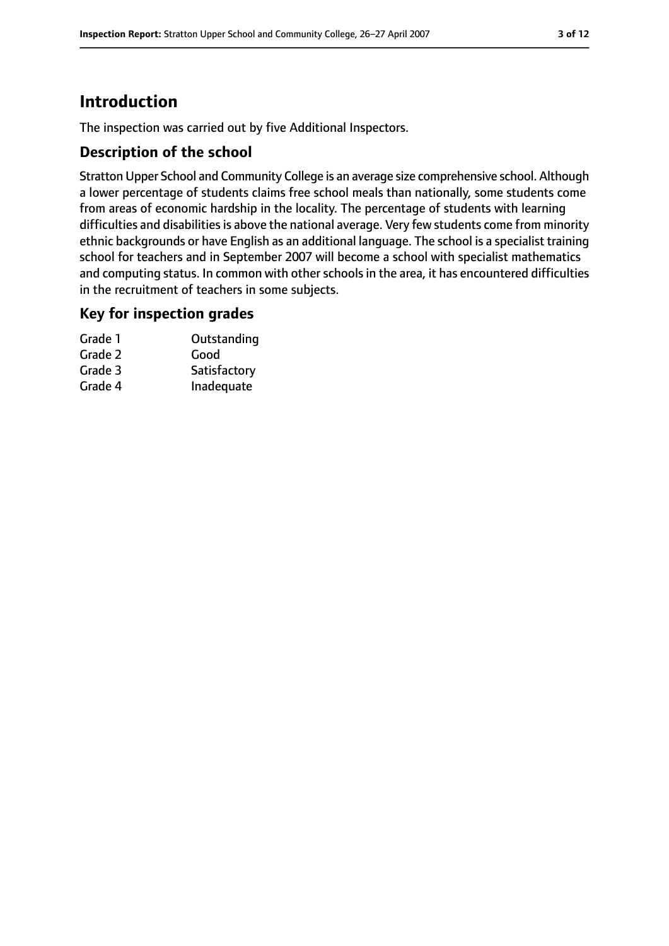# **Introduction**

The inspection was carried out by five Additional Inspectors.

### **Description of the school**

Stratton Upper School and Community College is an average size comprehensive school. Although a lower percentage of students claims free school meals than nationally, some students come from areas of economic hardship in the locality. The percentage of students with learning difficulties and disabilities is above the national average. Very few students come from minority ethnic backgrounds or have English as an additional language. The school is a specialist training school for teachers and in September 2007 will become a school with specialist mathematics and computing status. In common with other schools in the area, it has encountered difficulties in the recruitment of teachers in some subjects.

### **Key for inspection grades**

| Grade 1 | Outstanding  |
|---------|--------------|
| Grade 2 | Good         |
| Grade 3 | Satisfactory |
| Grade 4 | Inadequate   |
|         |              |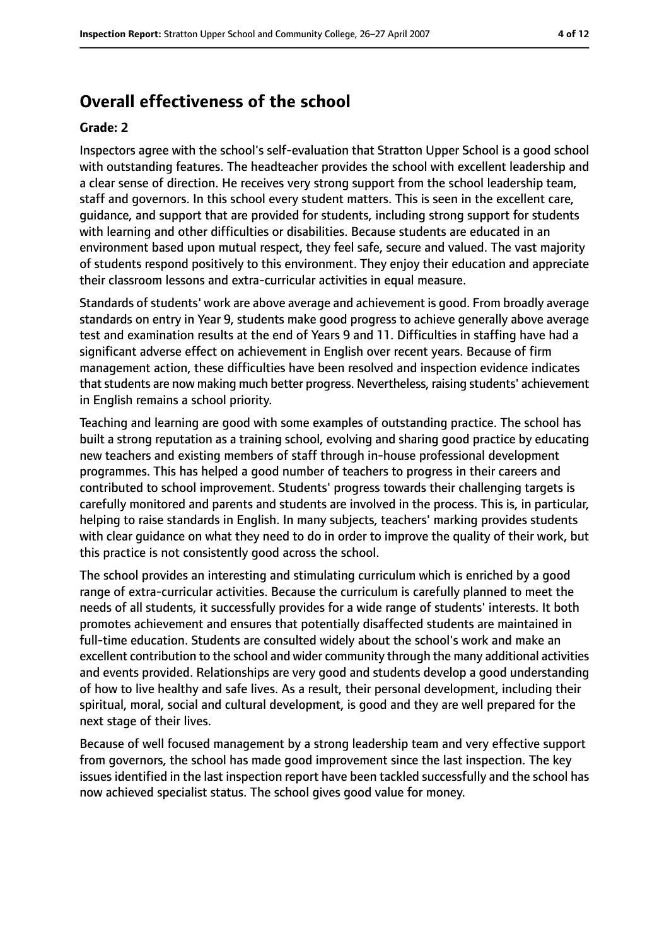# **Overall effectiveness of the school**

#### **Grade: 2**

Inspectors agree with the school's self-evaluation that Stratton Upper School is a good school with outstanding features. The headteacher provides the school with excellent leadership and a clear sense of direction. He receives very strong support from the school leadership team, staff and governors. In this school every student matters. This is seen in the excellent care, guidance, and support that are provided for students, including strong support for students with learning and other difficulties or disabilities. Because students are educated in an environment based upon mutual respect, they feel safe, secure and valued. The vast majority of students respond positively to this environment. They enjoy their education and appreciate their classroom lessons and extra-curricular activities in equal measure.

Standards of students' work are above average and achievement is good. From broadly average standards on entry in Year 9, students make good progress to achieve generally above average test and examination results at the end of Years 9 and 11. Difficulties in staffing have had a significant adverse effect on achievement in English over recent years. Because of firm management action, these difficulties have been resolved and inspection evidence indicates that students are now making much better progress. Nevertheless, raising students' achievement in English remains a school priority.

Teaching and learning are good with some examples of outstanding practice. The school has built a strong reputation as a training school, evolving and sharing good practice by educating new teachers and existing members of staff through in-house professional development programmes. This has helped a good number of teachers to progress in their careers and contributed to school improvement. Students' progress towards their challenging targets is carefully monitored and parents and students are involved in the process. This is, in particular, helping to raise standards in English. In many subjects, teachers' marking provides students with clear guidance on what they need to do in order to improve the quality of their work, but this practice is not consistently good across the school.

The school provides an interesting and stimulating curriculum which is enriched by a good range of extra-curricular activities. Because the curriculum is carefully planned to meet the needs of all students, it successfully provides for a wide range of students' interests. It both promotes achievement and ensures that potentially disaffected students are maintained in full-time education. Students are consulted widely about the school's work and make an excellent contribution to the school and wider community through the many additional activities and events provided. Relationships are very good and students develop a good understanding of how to live healthy and safe lives. As a result, their personal development, including their spiritual, moral, social and cultural development, is good and they are well prepared for the next stage of their lives.

Because of well focused management by a strong leadership team and very effective support from governors, the school has made good improvement since the last inspection. The key issues identified in the last inspection report have been tackled successfully and the school has now achieved specialist status. The school gives good value for money.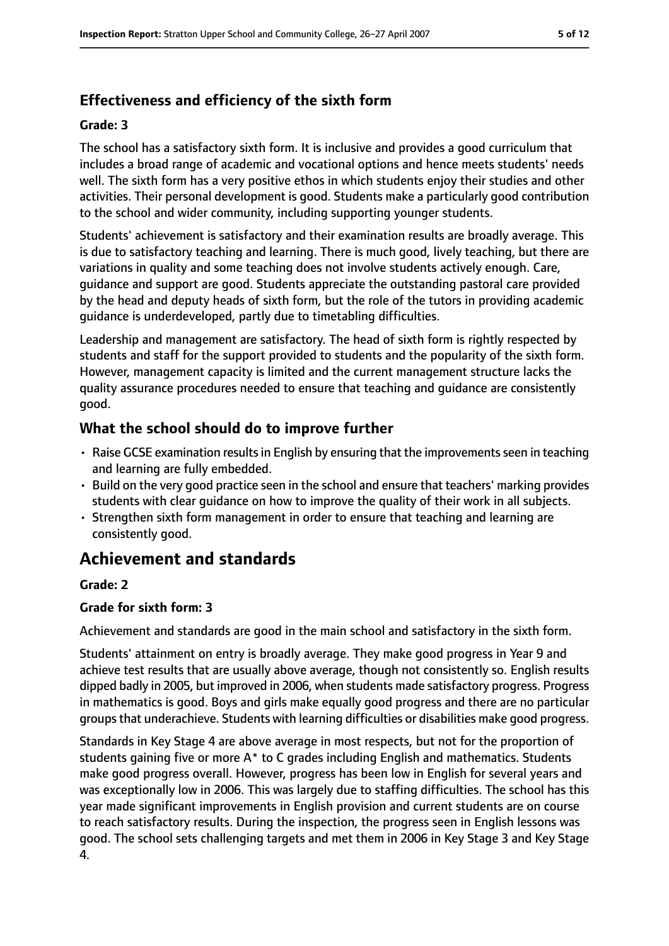# **Effectiveness and efficiency of the sixth form**

#### **Grade: 3**

The school has a satisfactory sixth form. It is inclusive and provides a good curriculum that includes a broad range of academic and vocational options and hence meets students' needs well. The sixth form has a very positive ethos in which students enjoy their studies and other activities. Their personal development is good. Students make a particularly good contribution to the school and wider community, including supporting younger students.

Students' achievement is satisfactory and their examination results are broadly average. This is due to satisfactory teaching and learning. There is much good, lively teaching, but there are variations in quality and some teaching does not involve students actively enough. Care, guidance and support are good. Students appreciate the outstanding pastoral care provided by the head and deputy heads of sixth form, but the role of the tutors in providing academic guidance is underdeveloped, partly due to timetabling difficulties.

Leadership and management are satisfactory. The head of sixth form is rightly respected by students and staff for the support provided to students and the popularity of the sixth form. However, management capacity is limited and the current management structure lacks the quality assurance procedures needed to ensure that teaching and guidance are consistently good.

### **What the school should do to improve further**

- Raise GCSE examination results in English by ensuring that the improvements seen in teaching and learning are fully embedded.
- Build on the very good practice seen in the school and ensure that teachers' marking provides students with clear guidance on how to improve the quality of their work in all subjects.
- Strengthen sixth form management in order to ensure that teaching and learning are consistently good.

# **Achievement and standards**

### **Grade: 2**

#### **Grade for sixth form: 3**

Achievement and standards are good in the main school and satisfactory in the sixth form.

Students' attainment on entry is broadly average. They make good progress in Year 9 and achieve test results that are usually above average, though not consistently so. English results dipped badly in 2005, but improved in 2006, when students made satisfactory progress. Progress in mathematics is good. Boys and girls make equally good progress and there are no particular groups that underachieve. Students with learning difficulties or disabilities make good progress.

Standards in Key Stage 4 are above average in most respects, but not for the proportion of students gaining five or more A\* to C grades including English and mathematics. Students make good progress overall. However, progress has been low in English for several years and was exceptionally low in 2006. This was largely due to staffing difficulties. The school has this year made significant improvements in English provision and current students are on course to reach satisfactory results. During the inspection, the progress seen in English lessons was good. The school sets challenging targets and met them in 2006 in Key Stage 3 and Key Stage 4.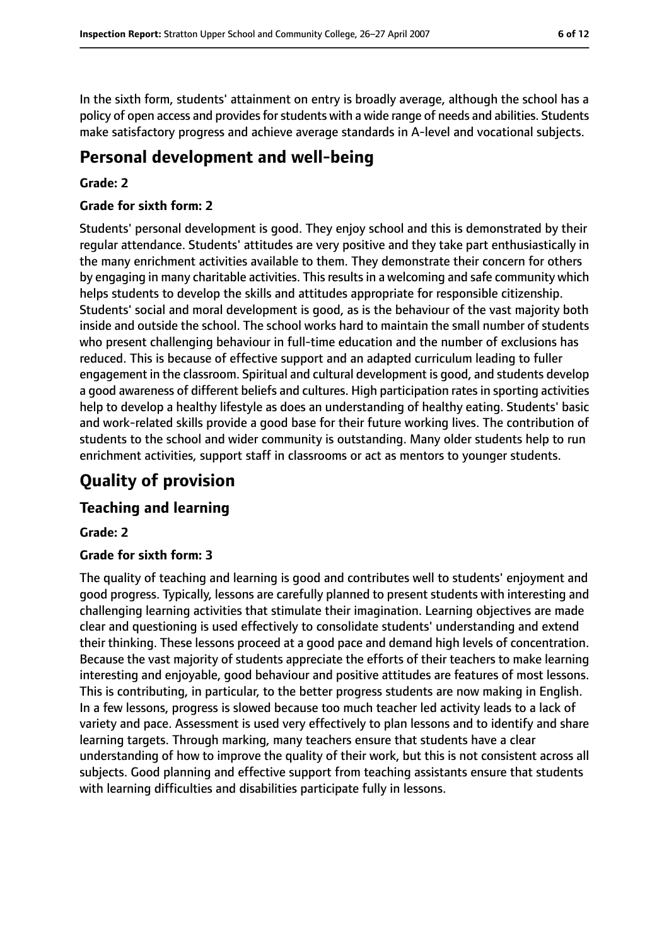In the sixth form, students' attainment on entry is broadly average, although the school has a policy of open access and provides for students with a wide range of needs and abilities. Students make satisfactory progress and achieve average standards in A-level and vocational subjects.

# **Personal development and well-being**

#### **Grade: 2**

#### **Grade for sixth form: 2**

Students' personal development is good. They enjoy school and this is demonstrated by their regular attendance. Students' attitudes are very positive and they take part enthusiastically in the many enrichment activities available to them. They demonstrate their concern for others by engaging in many charitable activities. This results in a welcoming and safe community which helps students to develop the skills and attitudes appropriate for responsible citizenship. Students' social and moral development is good, as is the behaviour of the vast majority both inside and outside the school. The school works hard to maintain the small number of students who present challenging behaviour in full-time education and the number of exclusions has reduced. This is because of effective support and an adapted curriculum leading to fuller engagement in the classroom. Spiritual and cultural development is good, and students develop a good awareness of different beliefs and cultures. High participation rates in sporting activities help to develop a healthy lifestyle as does an understanding of healthy eating. Students' basic and work-related skills provide a good base for their future working lives. The contribution of students to the school and wider community is outstanding. Many older students help to run enrichment activities, support staff in classrooms or act as mentors to younger students.

# **Quality of provision**

### **Teaching and learning**

#### **Grade: 2**

#### **Grade for sixth form: 3**

The quality of teaching and learning is good and contributes well to students' enjoyment and good progress. Typically, lessons are carefully planned to present students with interesting and challenging learning activities that stimulate their imagination. Learning objectives are made clear and questioning is used effectively to consolidate students' understanding and extend their thinking. These lessons proceed at a good pace and demand high levels of concentration. Because the vast majority of students appreciate the efforts of their teachers to make learning interesting and enjoyable, good behaviour and positive attitudes are features of most lessons. This is contributing, in particular, to the better progress students are now making in English. In a few lessons, progress is slowed because too much teacher led activity leads to a lack of variety and pace. Assessment is used very effectively to plan lessons and to identify and share learning targets. Through marking, many teachers ensure that students have a clear understanding of how to improve the quality of their work, but this is not consistent across all subjects. Good planning and effective support from teaching assistants ensure that students with learning difficulties and disabilities participate fully in lessons.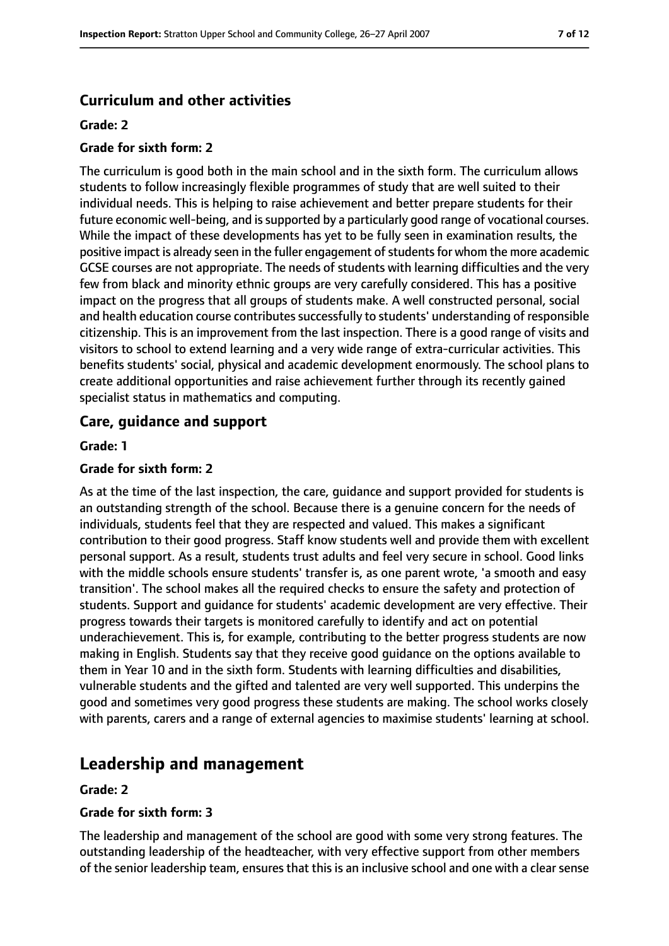# **Curriculum and other activities**

#### **Grade: 2**

#### **Grade for sixth form: 2**

The curriculum is good both in the main school and in the sixth form. The curriculum allows students to follow increasingly flexible programmes of study that are well suited to their individual needs. This is helping to raise achievement and better prepare students for their future economic well-being, and is supported by a particularly good range of vocational courses. While the impact of these developments has yet to be fully seen in examination results, the positive impact is already seen in the fuller engagement of students for whom the more academic GCSE courses are not appropriate. The needs of students with learning difficulties and the very few from black and minority ethnic groups are very carefully considered. This has a positive impact on the progress that all groups of students make. A well constructed personal, social and health education course contributes successfully to students' understanding of responsible citizenship. This is an improvement from the last inspection. There is a good range of visits and visitors to school to extend learning and a very wide range of extra-curricular activities. This benefits students' social, physical and academic development enormously. The school plans to create additional opportunities and raise achievement further through its recently gained specialist status in mathematics and computing.

### **Care, guidance and support**

#### **Grade: 1**

#### **Grade for sixth form: 2**

As at the time of the last inspection, the care, guidance and support provided for students is an outstanding strength of the school. Because there is a genuine concern for the needs of individuals, students feel that they are respected and valued. This makes a significant contribution to their good progress. Staff know students well and provide them with excellent personal support. As a result, students trust adults and feel very secure in school. Good links with the middle schools ensure students' transfer is, as one parent wrote, 'a smooth and easy transition'. The school makes all the required checks to ensure the safety and protection of students. Support and guidance for students' academic development are very effective. Their progress towards their targets is monitored carefully to identify and act on potential underachievement. This is, for example, contributing to the better progress students are now making in English. Students say that they receive good guidance on the options available to them in Year 10 and in the sixth form. Students with learning difficulties and disabilities, vulnerable students and the gifted and talented are very well supported. This underpins the good and sometimes very good progress these students are making. The school works closely with parents, carers and a range of external agencies to maximise students' learning at school.

# **Leadership and management**

#### **Grade: 2**

#### **Grade for sixth form: 3**

The leadership and management of the school are good with some very strong features. The outstanding leadership of the headteacher, with very effective support from other members of the senior leadership team, ensures that this is an inclusive school and one with a clear sense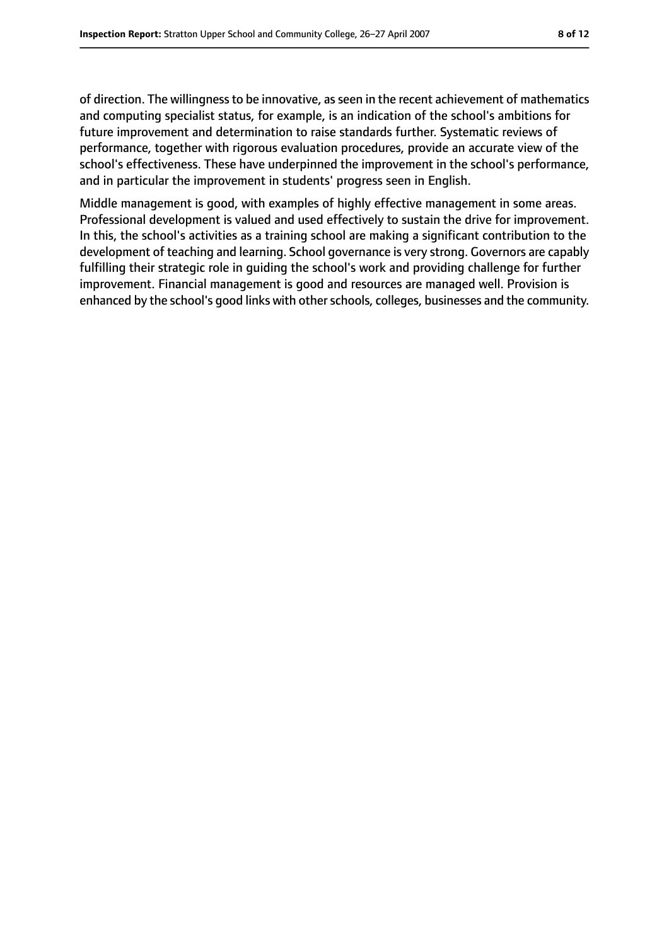of direction. The willingnessto be innovative, asseen in the recent achievement of mathematics and computing specialist status, for example, is an indication of the school's ambitions for future improvement and determination to raise standards further. Systematic reviews of performance, together with rigorous evaluation procedures, provide an accurate view of the school's effectiveness. These have underpinned the improvement in the school's performance, and in particular the improvement in students' progress seen in English.

Middle management is good, with examples of highly effective management in some areas. Professional development is valued and used effectively to sustain the drive for improvement. In this, the school's activities as a training school are making a significant contribution to the development of teaching and learning. School governance is very strong. Governors are capably fulfilling their strategic role in guiding the school's work and providing challenge for further improvement. Financial management is good and resources are managed well. Provision is enhanced by the school's good links with other schools, colleges, businesses and the community.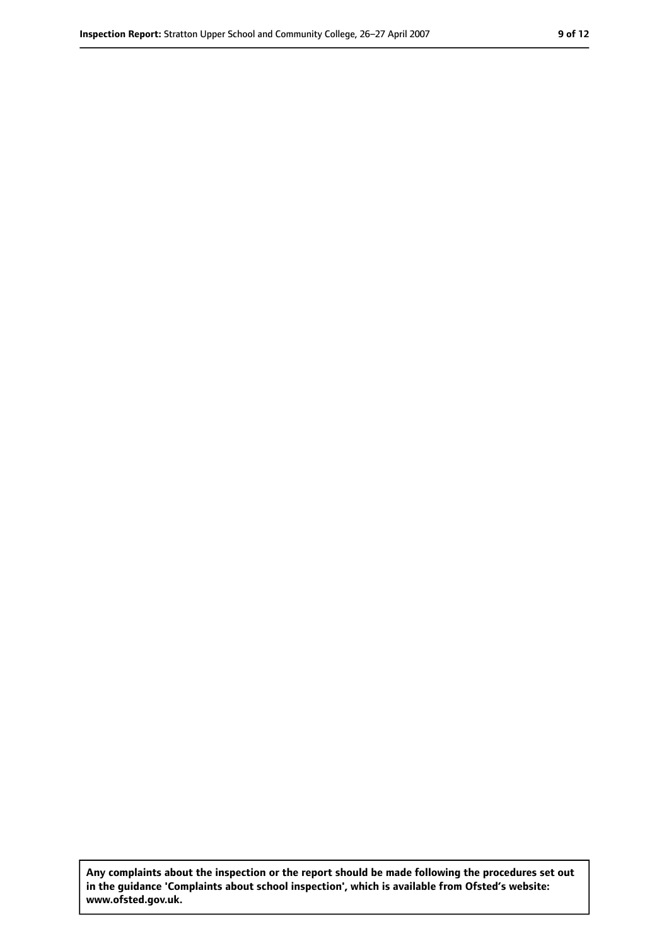**Any complaints about the inspection or the report should be made following the procedures set out in the guidance 'Complaints about school inspection', which is available from Ofsted's website: www.ofsted.gov.uk.**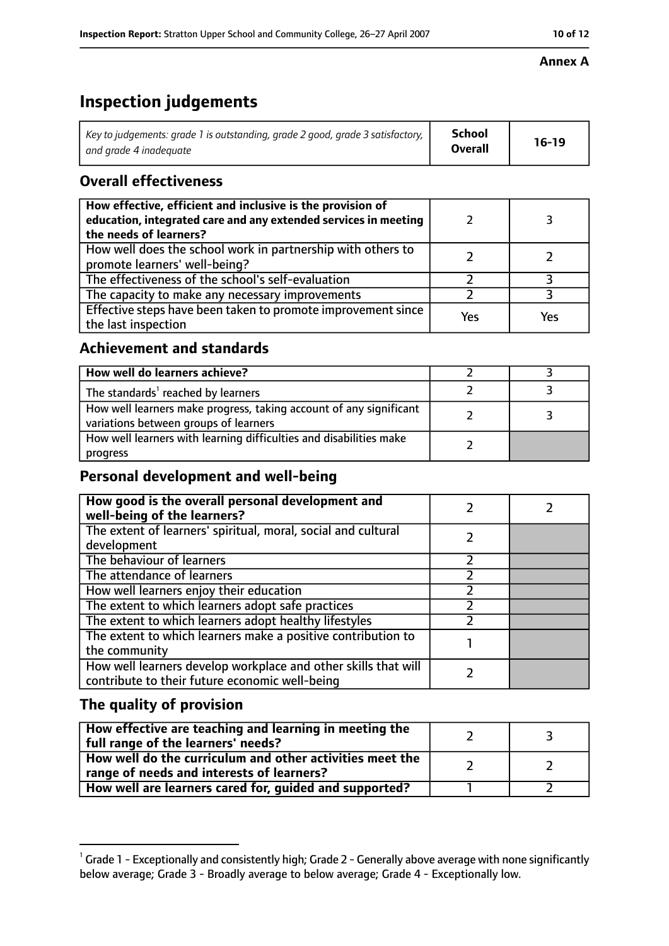#### **Annex A**

# **Inspection judgements**

| Key to judgements: grade 1 is outstanding, grade 2 good, grade 3 satisfactory, $\vert$ | School         | $16-19$ |
|----------------------------------------------------------------------------------------|----------------|---------|
| and grade 4 inadeguate                                                                 | <b>Overall</b> |         |

# **Overall effectiveness**

| How effective, efficient and inclusive is the provision of<br>education, integrated care and any extended services in meeting<br>the needs of learners? |     |     |
|---------------------------------------------------------------------------------------------------------------------------------------------------------|-----|-----|
| How well does the school work in partnership with others to<br>promote learners' well-being?                                                            |     |     |
| The effectiveness of the school's self-evaluation                                                                                                       |     |     |
| The capacity to make any necessary improvements                                                                                                         |     |     |
| Effective steps have been taken to promote improvement since<br>the last inspection                                                                     | Yes | Yes |

# **Achievement and standards**

| How well do learners achieve?                                                                               |  |
|-------------------------------------------------------------------------------------------------------------|--|
| The standards <sup>1</sup> reached by learners                                                              |  |
| How well learners make progress, taking account of any significant<br>variations between groups of learners |  |
| How well learners with learning difficulties and disabilities make<br>progress                              |  |

# **Personal development and well-being**

| How good is the overall personal development and<br>well-being of the learners?                                  |  |
|------------------------------------------------------------------------------------------------------------------|--|
| The extent of learners' spiritual, moral, social and cultural<br>development                                     |  |
| The behaviour of learners                                                                                        |  |
| The attendance of learners                                                                                       |  |
| How well learners enjoy their education                                                                          |  |
| The extent to which learners adopt safe practices                                                                |  |
| The extent to which learners adopt healthy lifestyles                                                            |  |
| The extent to which learners make a positive contribution to<br>the community                                    |  |
| How well learners develop workplace and other skills that will<br>contribute to their future economic well-being |  |

### **The quality of provision**

| How effective are teaching and learning in meeting the<br>full range of the learners' needs?          |  |
|-------------------------------------------------------------------------------------------------------|--|
| How well do the curriculum and other activities meet the<br>range of needs and interests of learners? |  |
| How well are learners cared for, guided and supported?                                                |  |

 $^1$  Grade 1 - Exceptionally and consistently high; Grade 2 - Generally above average with none significantly below average; Grade 3 - Broadly average to below average; Grade 4 - Exceptionally low.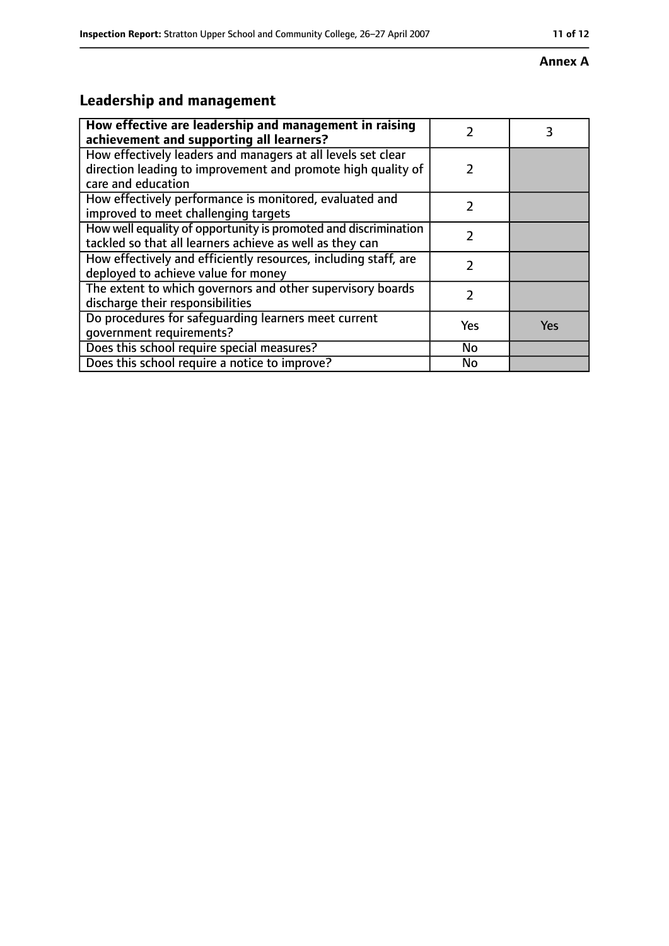#### **Annex A**

# **Leadership and management**

| How effective are leadership and management in raising<br>achievement and supporting all learners?                                                 |               |            |
|----------------------------------------------------------------------------------------------------------------------------------------------------|---------------|------------|
| How effectively leaders and managers at all levels set clear<br>direction leading to improvement and promote high quality of<br>care and education | $\mathcal{P}$ |            |
| How effectively performance is monitored, evaluated and<br>improved to meet challenging targets                                                    | 7             |            |
| How well equality of opportunity is promoted and discrimination<br>tackled so that all learners achieve as well as they can                        | $\mathcal{P}$ |            |
| How effectively and efficiently resources, including staff, are<br>deployed to achieve value for money                                             |               |            |
| The extent to which governors and other supervisory boards<br>discharge their responsibilities                                                     | 7             |            |
| Do procedures for safeguarding learners meet current<br>qovernment requirements?                                                                   | Yes           | <b>Yes</b> |
| Does this school require special measures?                                                                                                         | No            |            |
| Does this school require a notice to improve?                                                                                                      | No            |            |